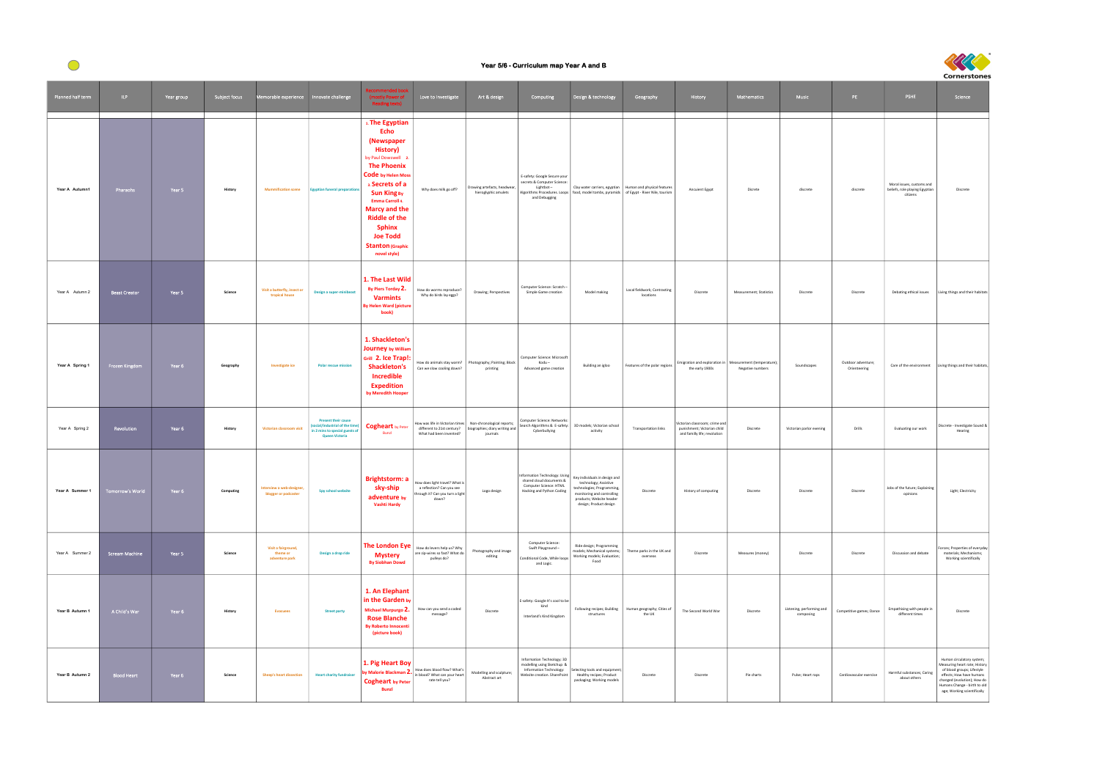| Planned half term | ILP                   | Year group | Subject focus | Memorable experience   Innovate challenge         |                                                                                                                         | mostly Power of<br>Reading texts)                                                                                                                                                                                                                                                                                       | Love to Investigate                                                                                    | Art & design                                                                                               | Computing                                                                                                                    | Design & technology                                                                                                                                                      | Geography                                                                                                                 | History                                                                                       | Mathematics                                                                      | Music                                  | PE                                 | <b>PSHE</b>                                                             | Science                                                                                                                                                                                                            |
|-------------------|-----------------------|------------|---------------|---------------------------------------------------|-------------------------------------------------------------------------------------------------------------------------|-------------------------------------------------------------------------------------------------------------------------------------------------------------------------------------------------------------------------------------------------------------------------------------------------------------------------|--------------------------------------------------------------------------------------------------------|------------------------------------------------------------------------------------------------------------|------------------------------------------------------------------------------------------------------------------------------|--------------------------------------------------------------------------------------------------------------------------------------------------------------------------|---------------------------------------------------------------------------------------------------------------------------|-----------------------------------------------------------------------------------------------|----------------------------------------------------------------------------------|----------------------------------------|------------------------------------|-------------------------------------------------------------------------|--------------------------------------------------------------------------------------------------------------------------------------------------------------------------------------------------------------------|
| Year A Autumn1    | Pharaohs              | Year 5     | History       | <b>Mummification scene</b>                        | <b>Egyptian funeral preparation</b>                                                                                     | 1. The Egyptian<br>Echo<br>(Newspaper)<br>History)<br>by Paul Dowswell 2.<br><b>The Phoenix</b><br>Code by Helen Moss<br>a. Secrets of a<br><b>Sun King By</b><br><b>Emma Carroll 4.</b><br><b>Marcy and the</b><br><b>Riddle of the</b><br><b>Sphinx</b><br><b>Joe Todd</b><br><b>Stanton</b> (Graphic<br>novel style) | Why does milk go off?                                                                                  | Drawing artefacts, headwear,<br>hieroglyphic amulets                                                       | E-safety: Google Secure your<br>secrets & Computer Science:<br>$Lightbot -$<br>Algorithms Procedures. Loops<br>and Debugging |                                                                                                                                                                          | Clay water carriers, egyptian   Human and physical features<br>food, model tombs, pyramids of Egypt - River Nile, tourism | Ancuient Egypt                                                                                | Dicrete                                                                          | discrete                               | discrete                           | Moral issues, customs and<br>beliefs, role playing Egyptian<br>citizens | Discrete                                                                                                                                                                                                           |
| Year A Autumn 2   | <b>Beast Creator</b>  | Year 5     | Science       | Visit a butterfly, insect or<br>tropical house    | Design a super-minibeast                                                                                                | 1. The Last Wild<br>By Piers Torday 2.<br><b>Varmints</b><br><b>By Helen Ward (picture</b><br>book)                                                                                                                                                                                                                     | How do worms reproduce?<br>Why do birds lay eggs?                                                      | Drawing; Perspectives                                                                                      | Computer Science: Scratch -<br>Simple Game creation                                                                          | Model making                                                                                                                                                             | Local fieldwork; Contrasting<br>locations                                                                                 | Discrete                                                                                      | Measurement; Statistics                                                          | Discrete                               | Discrete                           | Debating ethical issues                                                 | Living things and their habitats                                                                                                                                                                                   |
| Year A Spring 1   | Frozen Kingdom        | Year 6     | Geography     | <b>Investigate ice</b>                            | <b>Polar rescue mission</b>                                                                                             | 1. Shackleton's<br><b>Journey</b> by William<br>Grill 2. Ice Trap!:<br><b>Shackleton's</b><br><b>Incredible</b><br><b>Expedition</b><br>by Meredith Hooper                                                                                                                                                              | Can we slow cooling down?                                                                              | How do animals stay warm?   Photography; Painting; Block<br>printing                                       | Computer Science: Microsoft<br>Kodu –<br>Advanced game creation                                                              | Building an igloo                                                                                                                                                        | Features of the polar regions                                                                                             | the early 1900s                                                                               | Emigration and exploration in   Measurement (temperature);  <br>Negative numbers | Soundscapes                            | Outdoor adventure;<br>Orienteering |                                                                         | Care of the environment Living things and their habitats                                                                                                                                                           |
| Year A Spring 2   | Revolution            | Year 6     | History       | Victorian classroom visit                         | <b>Present their cause</b><br>social/industrial of the time)<br>in 2 mins to special guests of<br><b>Queen Victoria</b> | <b>Cogheart</b> by Peter<br><b>Bunzl</b>                                                                                                                                                                                                                                                                                | different to 21st century?<br>What had been invented?                                                  | low was life in Victorian times   Non-chronological reports;<br>biographies; diary writing and<br>journals | Computer Science: Networks:<br>Cyberbullying                                                                                 | Search Algorithms & E-safety: 3D models; Victorian school<br>activity                                                                                                    | <b>Transportation links</b>                                                                                               | Victorian classroom; crime and<br>punishment; Victorian child<br>and familly life; revolution | Discrete                                                                         | Victorian parlor evening               | Drills                             | Evaluating our work                                                     | Discrete - Investigate Sound &<br>Hearing                                                                                                                                                                          |
| Year A Summer 1   | Tomorrow's World      | Year 6     | Computing     | Interview a web-designer,<br>blogger or podcaster | Spy school website                                                                                                      | Brightstorm: a<br>sky-ship<br>adventure by<br><b>Vashti Hardy</b>                                                                                                                                                                                                                                                       | How does light travel? What is<br>a reflection? Can you see<br>rough it? Can you turn a light<br>down? | Logo design                                                                                                | Information Technology: Using<br>shared cloud documents &<br>Computer Science: HTML<br>Hacking and Python Coding             | Key individuals in design and<br>technology; Assistive<br>technologies; Programming,<br>monitoring and controlling<br>products; Website header<br>design; Product design | Discrete                                                                                                                  | History of computing                                                                          | Discrete                                                                         | Discrete                               | Discrete                           | Jobs of the future; Explaining<br>opinions                              | Light; Electricity                                                                                                                                                                                                 |
| Year A Summer 2   | <b>Scream Machine</b> | Year 5     | Science       | Visit a fairground,<br>theme or<br>adventure park | Design a drop ride                                                                                                      | The London Eye<br><b>Mystery</b><br><b>By Siobhan Dowd</b>                                                                                                                                                                                                                                                              | How do levers help us? Why<br>are zip-wires so fast? What do<br>pulleys do?                            | Photography and image<br>editing                                                                           | Computer Science:<br>Swift Playground-<br>Conditional Code, While loops<br>and Logic.                                        | Ride design; Programming<br>models; Mechanical systems;<br>Working models; Evaluation;<br>Food                                                                           | Theme parks in the UK and<br>overseas                                                                                     | Discrete                                                                                      | Measures (money)                                                                 | Discrete                               | Discrete                           | Discussion and debate                                                   | Forces; Properties of everyday<br>materials; Mechanisms;<br>Working scientifically                                                                                                                                 |
| Year B Autumn 1   | A Child's War         | Year 6     | History       | <b>Evacuees</b>                                   | <b>Street party</b>                                                                                                     | 1. An Elephant<br>in the Garden by<br>Michael Murpurgo 2.<br><b>Rose Blanche</b><br><b>By Roberto Innocenti</b><br>(picture book)                                                                                                                                                                                       | How can you send a coded<br>message?                                                                   | Discrete                                                                                                   | E-safety: Google It's cool to be<br>kind<br>Interland's Kind Kingdom                                                         | structures                                                                                                                                                               | Following recipes; Building   Human geography; Cities of<br>the UK                                                        | The Second World War                                                                          | Discrete                                                                         | Listening, performing and<br>composing | Competitive games; Dance           | Empathising with people in<br>different times                           | Discrete                                                                                                                                                                                                           |
| Year B Autumn 2   | <b>Blood Heart</b>    | Year 6     | Science       | <b>Sheep's heart dissection</b>                   | <b>Heart charity fundraiser</b>                                                                                         | 1. Pig Heart Boy<br><b>Cogheart</b> by Peter<br><b>Bunzl</b>                                                                                                                                                                                                                                                            | by Malorie Blackman 2. How does blood flow? What's<br>rate tell you?                                   | Modelling and sculpture;<br>Abstract art                                                                   | Information Technology: 3D<br>modelling using Sketchup &<br>Information Technology:<br>Website creation. SharePoint          | Selecting tools and equipment;<br>Healthy recipes; Product<br>packaging; Working models                                                                                  | Discrete                                                                                                                  | Discrete                                                                                      | Pie charts                                                                       | Pulse; Heart raps                      | Cardiovascular exercise            | Harmful substances; Caring<br>about others                              | Human circulatory system;<br>Measuring heart rate; History<br>of blood groups; Lifestyle<br>effects; How have humans<br>changed (evolution); How do<br>Humans Change - birth to old<br>age; Working scientifically |

| equino<br>大学 |
|--------------|
| Cornerstones |

| ematics                            | <b>Music</b>                           | PE                                 | <b>PSHE</b>                                                             | Science                                                                                                                                                                                                            |
|------------------------------------|----------------------------------------|------------------------------------|-------------------------------------------------------------------------|--------------------------------------------------------------------------------------------------------------------------------------------------------------------------------------------------------------------|
| Dicrete                            | discrete                               | discrete                           | Moral issues, customs and<br>beliefs, role playing Egyptian<br>citizens | Discrete                                                                                                                                                                                                           |
| ement; Statistics                  | Discrete                               | Discrete                           | Debating ethical issues                                                 | Living things and their habitats                                                                                                                                                                                   |
| ent (temperature);<br>tive numbers | Soundscapes                            | Outdoor adventure;<br>Orienteering | Care of the environment                                                 | Living things and their habitats,                                                                                                                                                                                  |
| Discrete                           | Victorian parlor evening               | Drills                             | Evaluating our work                                                     | Discrete - Investigate Sound &<br>Hearing                                                                                                                                                                          |
| Discrete                           | Discrete                               | Discrete                           | Jobs of the future; Explaining<br>opinions                              | Light; Electricity                                                                                                                                                                                                 |
| ures (money)                       | Discrete                               | Discrete                           | Discussion and debate                                                   | Forces; Properties of everyday<br>materials; Mechanisms;<br>Working scientifically                                                                                                                                 |
| Discrete                           | Listening, performing and<br>composing | Competitive games; Dance           | Empathising with people in<br>different times                           | Discrete                                                                                                                                                                                                           |
| le charts                          | Pulse; Heart raps                      | Cardiovascular exercise            | Harmful substances; Caring<br>about others                              | Human circulatory system;<br>Measuring heart rate; History<br>of blood groups; Lifestyle<br>effects; How have humans<br>changed (evolution); How do<br>Humans Change - birth to old<br>age; Working scientifically |



## Year 5/6 - Curriculum map Year A and B